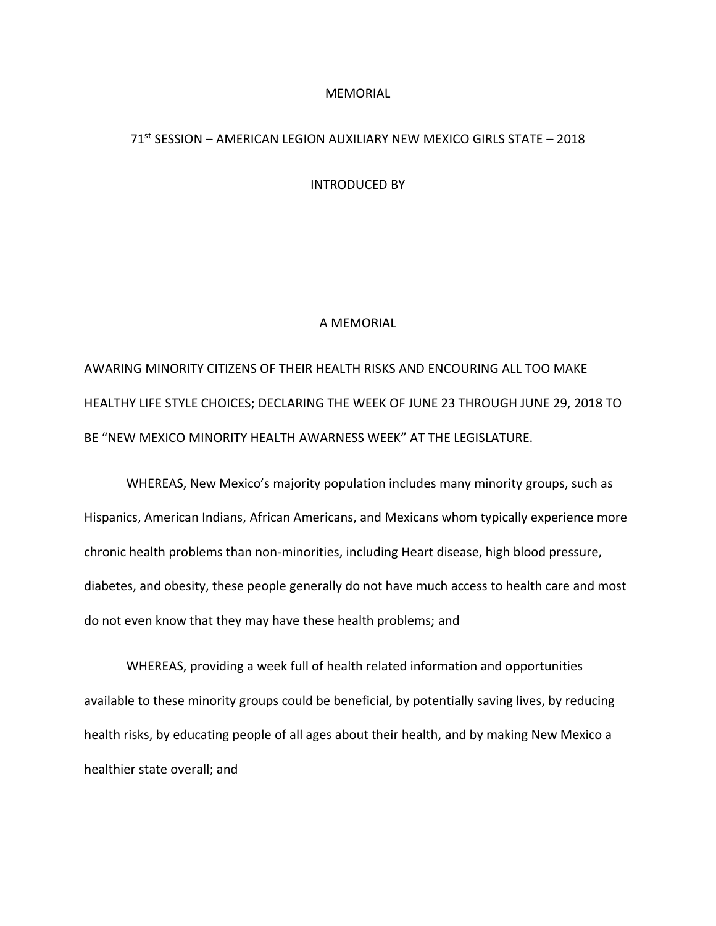## MEMORIAL

## 71st SESSION – AMERICAN LEGION AUXILIARY NEW MEXICO GIRLS STATE – 2018

## INTRODUCED BY

## A MEMORIAL

AWARING MINORITY CITIZENS OF THEIR HEALTH RISKS AND ENCOURING ALL TOO MAKE HEALTHY LIFE STYLE CHOICES; DECLARING THE WEEK OF JUNE 23 THROUGH JUNE 29, 2018 TO BE "NEW MEXICO MINORITY HEALTH AWARNESS WEEK" AT THE LEGISLATURE.

WHEREAS, New Mexico's majority population includes many minority groups, such as Hispanics, American Indians, African Americans, and Mexicans whom typically experience more chronic health problems than non-minorities, including Heart disease, high blood pressure, diabetes, and obesity, these people generally do not have much access to health care and most do not even know that they may have these health problems; and

WHEREAS, providing a week full of health related information and opportunities available to these minority groups could be beneficial, by potentially saving lives, by reducing health risks, by educating people of all ages about their health, and by making New Mexico a healthier state overall; and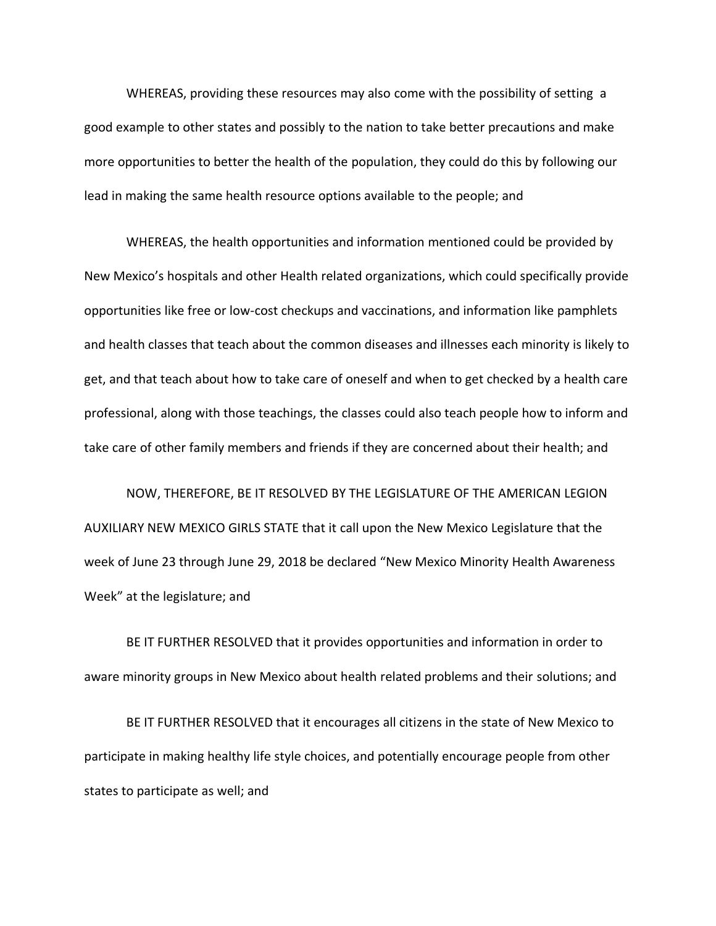WHEREAS, providing these resources may also come with the possibility of setting a good example to other states and possibly to the nation to take better precautions and make more opportunities to better the health of the population, they could do this by following our lead in making the same health resource options available to the people; and

WHEREAS, the health opportunities and information mentioned could be provided by New Mexico's hospitals and other Health related organizations, which could specifically provide opportunities like free or low-cost checkups and vaccinations, and information like pamphlets and health classes that teach about the common diseases and illnesses each minority is likely to get, and that teach about how to take care of oneself and when to get checked by a health care professional, along with those teachings, the classes could also teach people how to inform and take care of other family members and friends if they are concerned about their health; and

NOW, THEREFORE, BE IT RESOLVED BY THE LEGISLATURE OF THE AMERICAN LEGION AUXILIARY NEW MEXICO GIRLS STATE that it call upon the New Mexico Legislature that the week of June 23 through June 29, 2018 be declared "New Mexico Minority Health Awareness Week" at the legislature; and

BE IT FURTHER RESOLVED that it provides opportunities and information in order to aware minority groups in New Mexico about health related problems and their solutions; and

BE IT FURTHER RESOLVED that it encourages all citizens in the state of New Mexico to participate in making healthy life style choices, and potentially encourage people from other states to participate as well; and